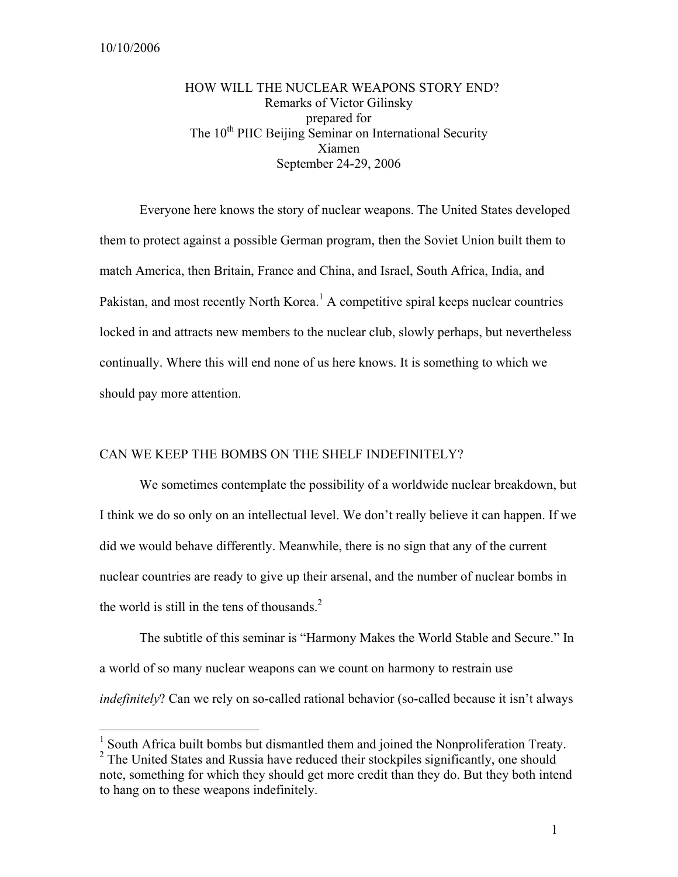$\overline{a}$ 

# HOW WILL THE NUCLEAR WEAPONS STORY END? Remarks of Victor Gilinsky prepared for The 10<sup>th</sup> PIIC Beijing Seminar on International Security Xiamen September 24-29, 2006

Everyone here knows the story of nuclear weapons. The United States developed them to protect against a possible German program, then the Soviet Union built them to match America, then Britain, France and China, and Israel, South Africa, India, and Pakistan, and most recently North Korea.<sup>1</sup> A competitive spiral keeps nuclear countries locked in and attracts new members to the nuclear club, slowly perhaps, but nevertheless continually. Where this will end none of us here knows. It is something to which we should pay more attention.

# CAN WE KEEP THE BOMBS ON THE SHELF INDEFINITELY?

We sometimes contemplate the possibility of a worldwide nuclear breakdown, but I think we do so only on an intellectual level. We don't really believe it can happen. If we did we would behave differently. Meanwhile, there is no sign that any of the current nuclear countries are ready to give up their arsenal, and the number of nuclear bombs in the world is still in the tens of thousands. $2$ 

The subtitle of this seminar is "Harmony Makes the World Stable and Secure." In a world of so many nuclear weapons can we count on harmony to restrain use *indefinitely*? Can we rely on so-called rational behavior (so-called because it isn't always

<sup>&</sup>lt;sup>1</sup> South Africa built bombs but dismantled them and joined the Nonproliferation Treaty. <sup>2</sup> The United States and Russia have reduced their stockpiles significantly, one should note, something for which they should get more credit than they do. But they both intend to hang on to these weapons indefinitely.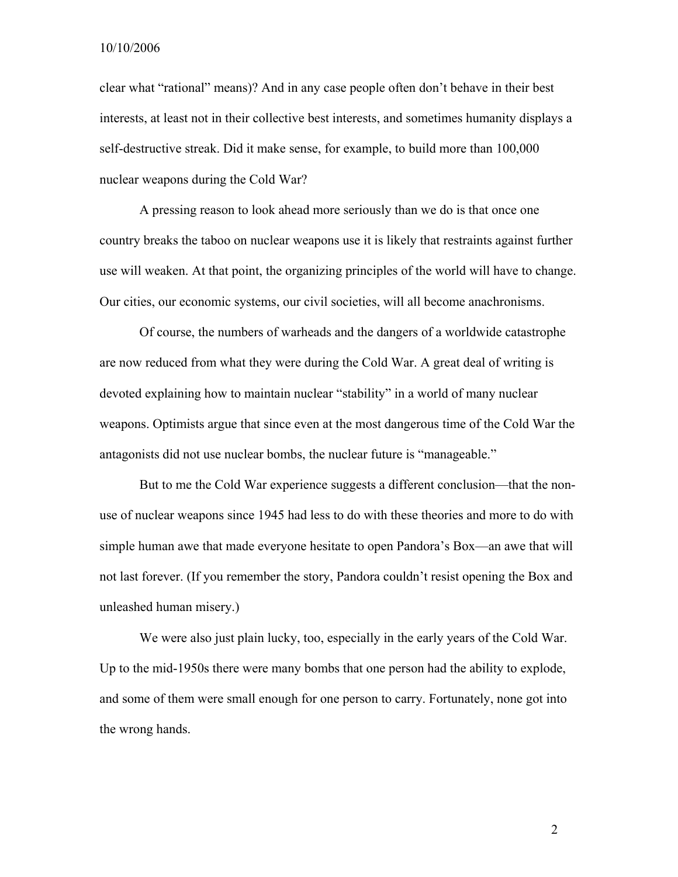10/10/2006

clear what "rational" means)? And in any case people often don't behave in their best interests, at least not in their collective best interests, and sometimes humanity displays a self-destructive streak. Did it make sense, for example, to build more than 100,000 nuclear weapons during the Cold War?

A pressing reason to look ahead more seriously than we do is that once one country breaks the taboo on nuclear weapons use it is likely that restraints against further use will weaken. At that point, the organizing principles of the world will have to change. Our cities, our economic systems, our civil societies, will all become anachronisms.

Of course, the numbers of warheads and the dangers of a worldwide catastrophe are now reduced from what they were during the Cold War. A great deal of writing is devoted explaining how to maintain nuclear "stability" in a world of many nuclear weapons. Optimists argue that since even at the most dangerous time of the Cold War the antagonists did not use nuclear bombs, the nuclear future is "manageable."

But to me the Cold War experience suggests a different conclusion—that the nonuse of nuclear weapons since 1945 had less to do with these theories and more to do with simple human awe that made everyone hesitate to open Pandora's Box—an awe that will not last forever. (If you remember the story, Pandora couldn't resist opening the Box and unleashed human misery.)

We were also just plain lucky, too, especially in the early years of the Cold War. Up to the mid-1950s there were many bombs that one person had the ability to explode, and some of them were small enough for one person to carry. Fortunately, none got into the wrong hands.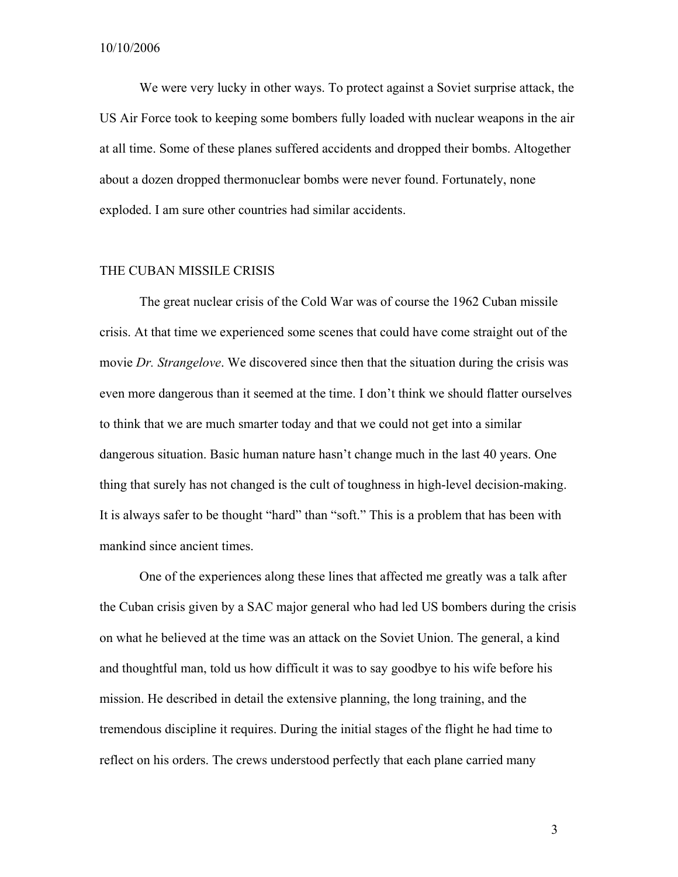We were very lucky in other ways. To protect against a Soviet surprise attack, the US Air Force took to keeping some bombers fully loaded with nuclear weapons in the air at all time. Some of these planes suffered accidents and dropped their bombs. Altogether about a dozen dropped thermonuclear bombs were never found. Fortunately, none exploded. I am sure other countries had similar accidents.

# THE CUBAN MISSILE CRISIS

The great nuclear crisis of the Cold War was of course the 1962 Cuban missile crisis. At that time we experienced some scenes that could have come straight out of the movie *Dr. Strangelove*. We discovered since then that the situation during the crisis was even more dangerous than it seemed at the time. I don't think we should flatter ourselves to think that we are much smarter today and that we could not get into a similar dangerous situation. Basic human nature hasn't change much in the last 40 years. One thing that surely has not changed is the cult of toughness in high-level decision-making. It is always safer to be thought "hard" than "soft." This is a problem that has been with mankind since ancient times.

One of the experiences along these lines that affected me greatly was a talk after the Cuban crisis given by a SAC major general who had led US bombers during the crisis on what he believed at the time was an attack on the Soviet Union. The general, a kind and thoughtful man, told us how difficult it was to say goodbye to his wife before his mission. He described in detail the extensive planning, the long training, and the tremendous discipline it requires. During the initial stages of the flight he had time to reflect on his orders. The crews understood perfectly that each plane carried many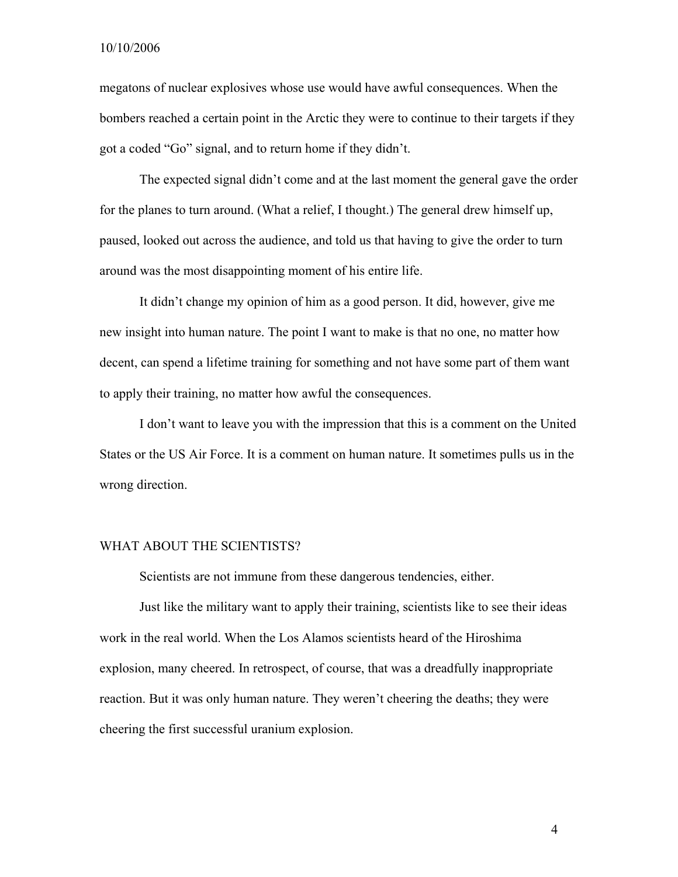megatons of nuclear explosives whose use would have awful consequences. When the bombers reached a certain point in the Arctic they were to continue to their targets if they got a coded "Go" signal, and to return home if they didn't.

The expected signal didn't come and at the last moment the general gave the order for the planes to turn around. (What a relief, I thought.) The general drew himself up, paused, looked out across the audience, and told us that having to give the order to turn around was the most disappointing moment of his entire life.

It didn't change my opinion of him as a good person. It did, however, give me new insight into human nature. The point I want to make is that no one, no matter how decent, can spend a lifetime training for something and not have some part of them want to apply their training, no matter how awful the consequences.

I don't want to leave you with the impression that this is a comment on the United States or the US Air Force. It is a comment on human nature. It sometimes pulls us in the wrong direction.

### WHAT ABOUT THE SCIENTISTS?

Scientists are not immune from these dangerous tendencies, either.

Just like the military want to apply their training, scientists like to see their ideas work in the real world. When the Los Alamos scientists heard of the Hiroshima explosion, many cheered. In retrospect, of course, that was a dreadfully inappropriate reaction. But it was only human nature. They weren't cheering the deaths; they were cheering the first successful uranium explosion.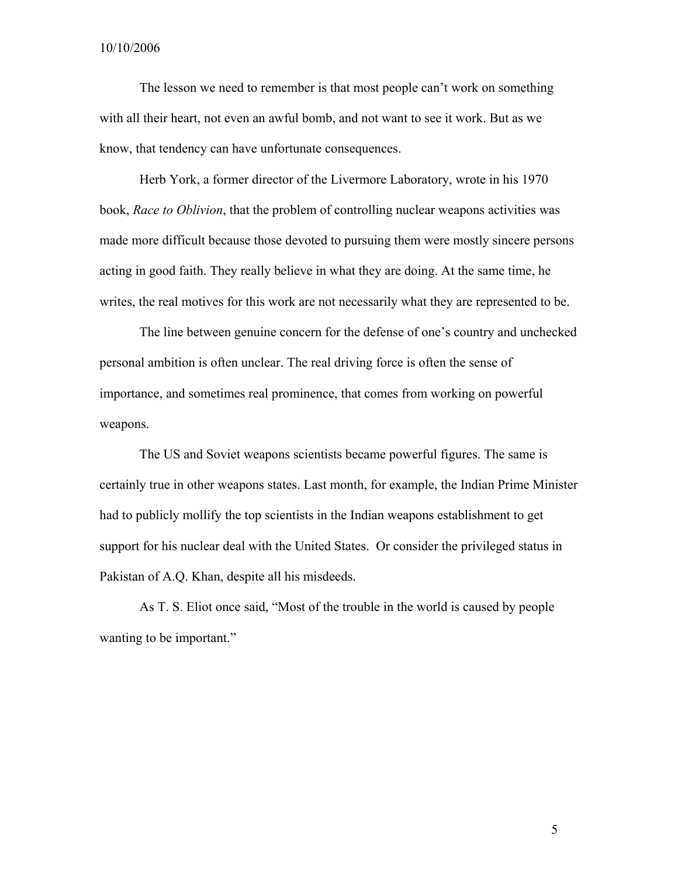The lesson we need to remember is that most people can't work on something with all their heart, not even an awful bomb, and not want to see it work. But as we know, that tendency can have unfortunate consequences.

Herb York, a former director of the Livermore Laboratory, wrote in his 1970 book, *Race to Oblivion*, that the problem of controlling nuclear weapons activities was made more difficult because those devoted to pursuing them were mostly sincere persons acting in good faith. They really believe in what they are doing. At the same time, he writes, the real motives for this work are not necessarily what they are represented to be.

The line between genuine concern for the defense of one's country and unchecked personal ambition is often unclear. The real driving force is often the sense of importance, and sometimes real prominence, that comes from working on powerful weapons.

The US and Soviet weapons scientists became powerful figures. The same is certainly true in other weapons states. Last month, for example, the Indian Prime Minister had to publicly mollify the top scientists in the Indian weapons establishment to get support for his nuclear deal with the United States. Or consider the privileged status in Pakistan of A.Q. Khan, despite all his misdeeds.

As T. S. Eliot once said, "Most of the trouble in the world is caused by people wanting to be important."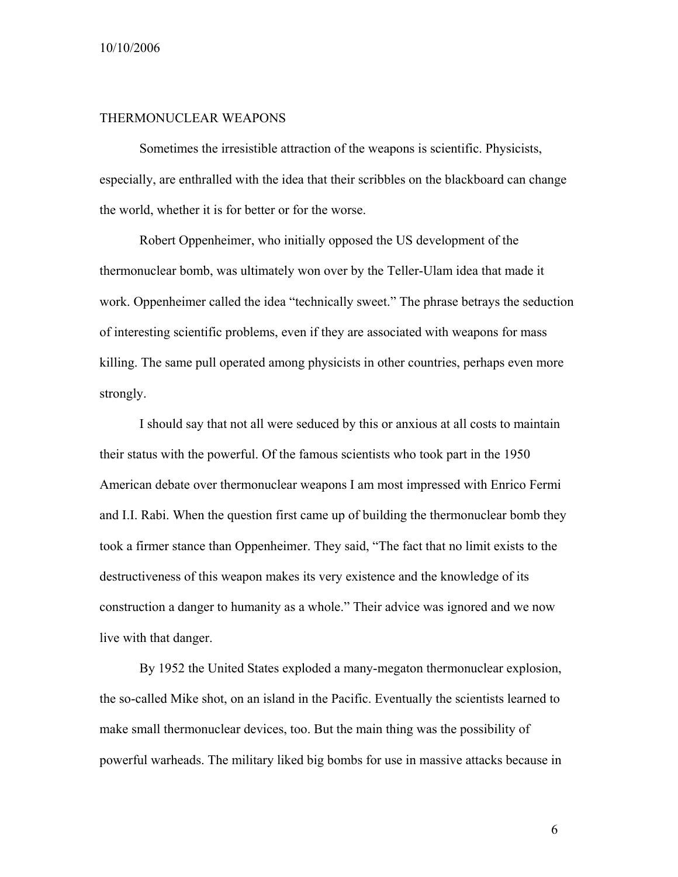#### 10/10/2006

## THERMONUCLEAR WEAPONS

Sometimes the irresistible attraction of the weapons is scientific. Physicists, especially, are enthralled with the idea that their scribbles on the blackboard can change the world, whether it is for better or for the worse.

Robert Oppenheimer, who initially opposed the US development of the thermonuclear bomb, was ultimately won over by the Teller-Ulam idea that made it work. Oppenheimer called the idea "technically sweet." The phrase betrays the seduction of interesting scientific problems, even if they are associated with weapons for mass killing. The same pull operated among physicists in other countries, perhaps even more strongly.

I should say that not all were seduced by this or anxious at all costs to maintain their status with the powerful. Of the famous scientists who took part in the 1950 American debate over thermonuclear weapons I am most impressed with Enrico Fermi and I.I. Rabi. When the question first came up of building the thermonuclear bomb they took a firmer stance than Oppenheimer. They said, "The fact that no limit exists to the destructiveness of this weapon makes its very existence and the knowledge of its construction a danger to humanity as a whole." Their advice was ignored and we now live with that danger.

By 1952 the United States exploded a many-megaton thermonuclear explosion, the so-called Mike shot, on an island in the Pacific. Eventually the scientists learned to make small thermonuclear devices, too. But the main thing was the possibility of powerful warheads. The military liked big bombs for use in massive attacks because in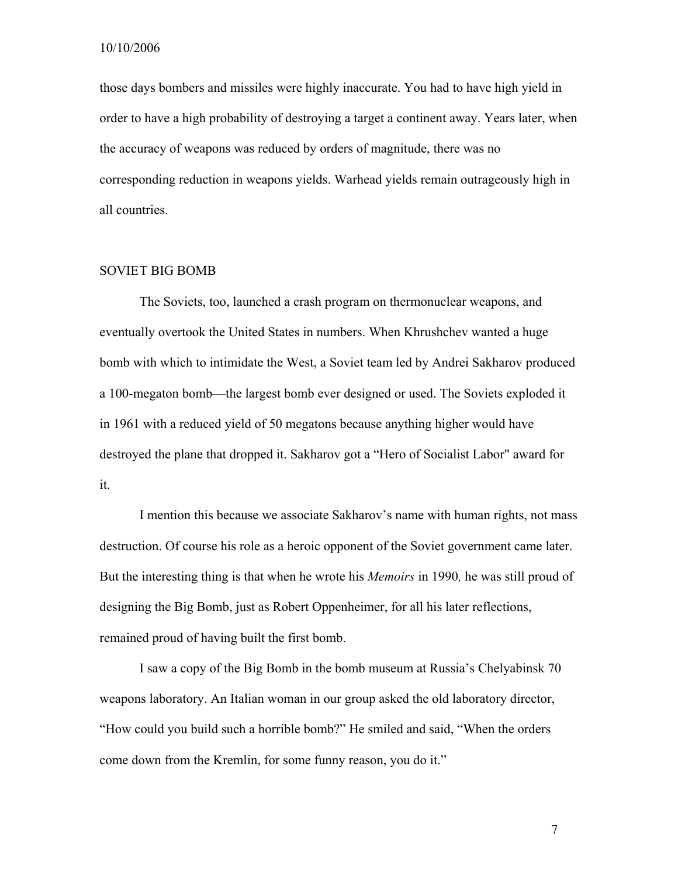those days bombers and missiles were highly inaccurate. You had to have high yield in order to have a high probability of destroying a target a continent away. Years later, when the accuracy of weapons was reduced by orders of magnitude, there was no corresponding reduction in weapons yields. Warhead yields remain outrageously high in all countries.

### SOVIET BIG BOMB

The Soviets, too, launched a crash program on thermonuclear weapons, and eventually overtook the United States in numbers. When Khrushchev wanted a huge bomb with which to intimidate the West, a Soviet team led by Andrei Sakharov produced a 100-megaton bomb—the largest bomb ever designed or used. The Soviets exploded it in 1961 with a reduced yield of 50 megatons because anything higher would have destroyed the plane that dropped it. Sakharov got a "Hero of Socialist Labor" award for it.

I mention this because we associate Sakharov's name with human rights, not mass destruction. Of course his role as a heroic opponent of the Soviet government came later. But the interesting thing is that when he wrote his *Memoirs* in 1990*,* he was still proud of designing the Big Bomb, just as Robert Oppenheimer, for all his later reflections, remained proud of having built the first bomb.

I saw a copy of the Big Bomb in the bomb museum at Russia's Chelyabinsk 70 weapons laboratory. An Italian woman in our group asked the old laboratory director, "How could you build such a horrible bomb?" He smiled and said, "When the orders come down from the Kremlin, for some funny reason, you do it."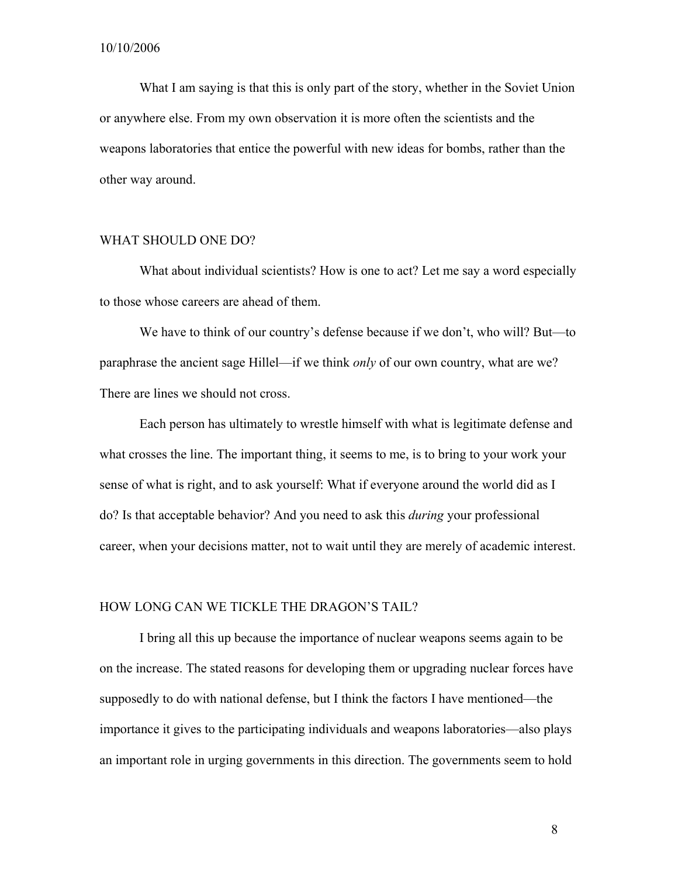What I am saying is that this is only part of the story, whether in the Soviet Union or anywhere else. From my own observation it is more often the scientists and the weapons laboratories that entice the powerful with new ideas for bombs, rather than the other way around.

### WHAT SHOULD ONE DO?

What about individual scientists? How is one to act? Let me say a word especially to those whose careers are ahead of them.

We have to think of our country's defense because if we don't, who will? But—to paraphrase the ancient sage Hillel—if we think *only* of our own country, what are we? There are lines we should not cross.

Each person has ultimately to wrestle himself with what is legitimate defense and what crosses the line. The important thing, it seems to me, is to bring to your work your sense of what is right, and to ask yourself: What if everyone around the world did as I do? Is that acceptable behavior? And you need to ask this *during* your professional career, when your decisions matter, not to wait until they are merely of academic interest.

### HOW LONG CAN WE TICKLE THE DRAGON'S TAIL?

I bring all this up because the importance of nuclear weapons seems again to be on the increase. The stated reasons for developing them or upgrading nuclear forces have supposedly to do with national defense, but I think the factors I have mentioned—the importance it gives to the participating individuals and weapons laboratories—also plays an important role in urging governments in this direction. The governments seem to hold